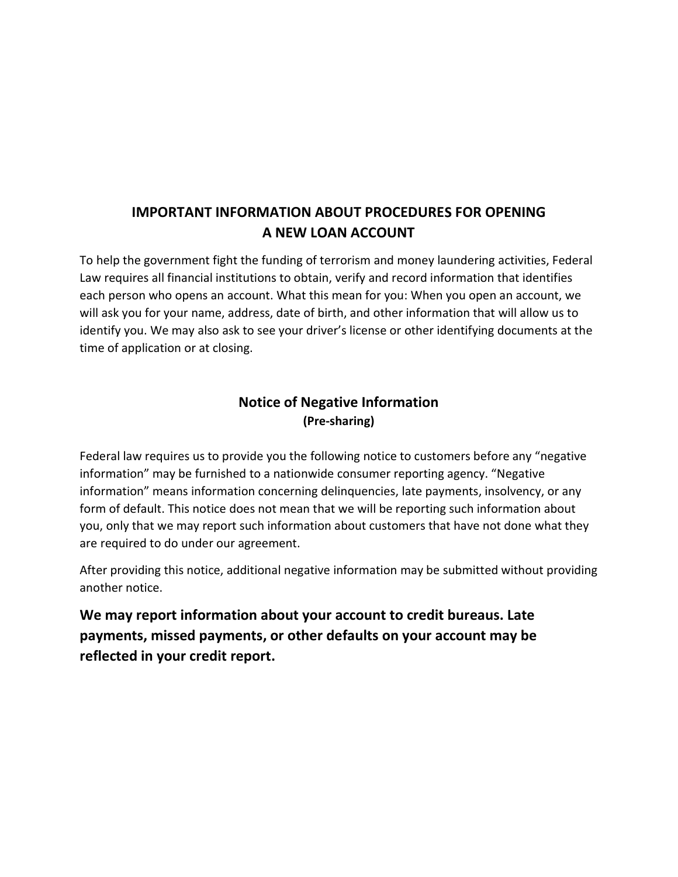## IMPORTANT INFORMATION ABOUT PROCEDURES FOR OPENING A NEW LOAN ACCOUNT

To help the government fight the funding of terrorism and money laundering activities, Federal Law requires all financial institutions to obtain, verify and record information that identifies each person who opens an account. What this mean for you: When you open an account, we will ask you for your name, address, date of birth, and other information that will allow us to identify you. We may also ask to see your driver's license or other identifying documents at the time of application or at closing.

## Notice of Negative Information (Pre-sharing)

Federal law requires us to provide you the following notice to customers before any "negative information" may be furnished to a nationwide consumer reporting agency. "Negative information" means information concerning delinquencies, late payments, insolvency, or any form of default. This notice does not mean that we will be reporting such information about you, only that we may report such information about customers that have not done what they are required to do under our agreement.

After providing this notice, additional negative information may be submitted without providing another notice.

We may report information about your account to credit bureaus. Late payments, missed payments, or other defaults on your account may be reflected in your credit report.